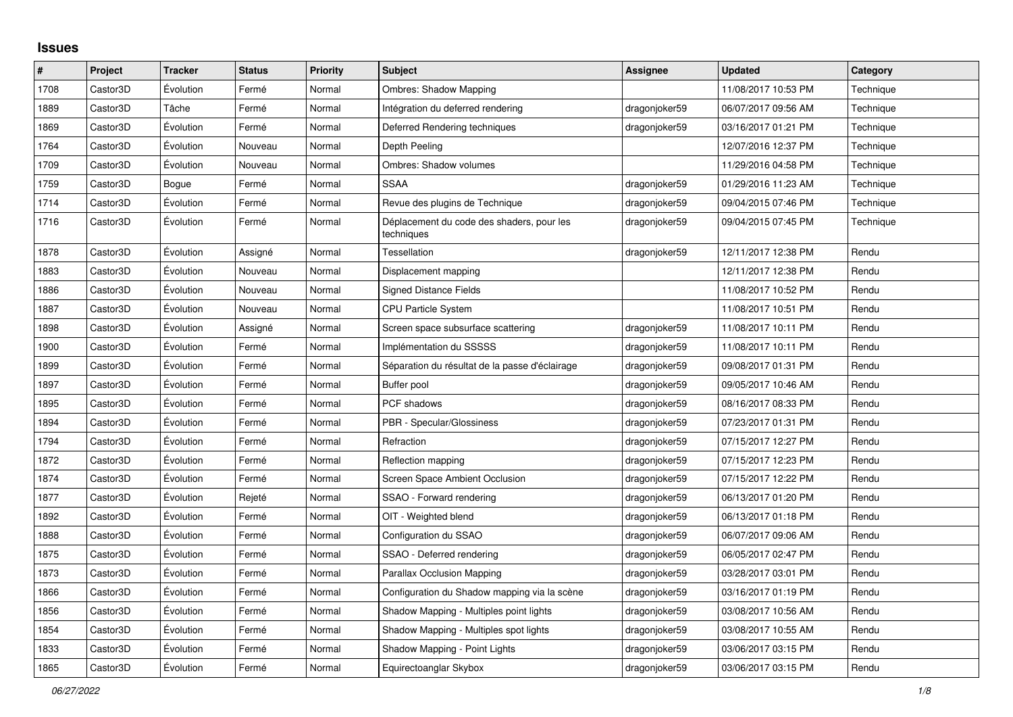## **Issues**

| $\sharp$ | Project  | <b>Tracker</b> | <b>Status</b> | <b>Priority</b> | <b>Subject</b>                                          | Assignee      | <b>Updated</b>      | Category  |
|----------|----------|----------------|---------------|-----------------|---------------------------------------------------------|---------------|---------------------|-----------|
| 1708     | Castor3D | Évolution      | Fermé         | Normal          | <b>Ombres: Shadow Mapping</b>                           |               | 11/08/2017 10:53 PM | Technique |
| 1889     | Castor3D | Tâche          | Fermé         | Normal          | Intégration du deferred rendering                       | dragonjoker59 | 06/07/2017 09:56 AM | Technique |
| 1869     | Castor3D | Évolution      | Fermé         | Normal          | Deferred Rendering techniques                           | dragonjoker59 | 03/16/2017 01:21 PM | Technique |
| 1764     | Castor3D | Évolution      | Nouveau       | Normal          | Depth Peeling                                           |               | 12/07/2016 12:37 PM | Technique |
| 1709     | Castor3D | Évolution      | Nouveau       | Normal          | Ombres: Shadow volumes                                  |               | 11/29/2016 04:58 PM | Technique |
| 1759     | Castor3D | Bogue          | Fermé         | Normal          | <b>SSAA</b>                                             | dragonjoker59 | 01/29/2016 11:23 AM | Technique |
| 1714     | Castor3D | Evolution      | Fermé         | Normal          | Revue des plugins de Technique                          | dragonjoker59 | 09/04/2015 07:46 PM | Technique |
| 1716     | Castor3D | Évolution      | Fermé         | Normal          | Déplacement du code des shaders, pour les<br>techniques | dragonjoker59 | 09/04/2015 07:45 PM | Technique |
| 1878     | Castor3D | Évolution      | Assigné       | Normal          | <b>Tessellation</b>                                     | dragonjoker59 | 12/11/2017 12:38 PM | Rendu     |
| 1883     | Castor3D | Évolution      | Nouveau       | Normal          | Displacement mapping                                    |               | 12/11/2017 12:38 PM | Rendu     |
| 1886     | Castor3D | Évolution      | Nouveau       | Normal          | <b>Signed Distance Fields</b>                           |               | 11/08/2017 10:52 PM | Rendu     |
| 1887     | Castor3D | Évolution      | Nouveau       | Normal          | <b>CPU Particle System</b>                              |               | 11/08/2017 10:51 PM | Rendu     |
| 1898     | Castor3D | Évolution      | Assigné       | Normal          | Screen space subsurface scattering                      | dragonjoker59 | 11/08/2017 10:11 PM | Rendu     |
| 1900     | Castor3D | Évolution      | Fermé         | Normal          | Implémentation du SSSSS                                 | dragonjoker59 | 11/08/2017 10:11 PM | Rendu     |
| 1899     | Castor3D | Évolution      | Fermé         | Normal          | Séparation du résultat de la passe d'éclairage          | dragonjoker59 | 09/08/2017 01:31 PM | Rendu     |
| 1897     | Castor3D | Évolution      | Fermé         | Normal          | Buffer pool                                             | dragonjoker59 | 09/05/2017 10:46 AM | Rendu     |
| 1895     | Castor3D | Évolution      | Fermé         | Normal          | PCF shadows                                             | dragonjoker59 | 08/16/2017 08:33 PM | Rendu     |
| 1894     | Castor3D | Évolution      | Fermé         | Normal          | PBR - Specular/Glossiness                               | dragonjoker59 | 07/23/2017 01:31 PM | Rendu     |
| 1794     | Castor3D | Évolution      | Fermé         | Normal          | Refraction                                              | dragonjoker59 | 07/15/2017 12:27 PM | Rendu     |
| 1872     | Castor3D | Évolution      | Fermé         | Normal          | Reflection mapping                                      | dragonjoker59 | 07/15/2017 12:23 PM | Rendu     |
| 1874     | Castor3D | Évolution      | Fermé         | Normal          | Screen Space Ambient Occlusion                          | dragonjoker59 | 07/15/2017 12:22 PM | Rendu     |
| 1877     | Castor3D | Evolution      | Rejeté        | Normal          | SSAO - Forward rendering                                | dragonjoker59 | 06/13/2017 01:20 PM | Rendu     |
| 1892     | Castor3D | Évolution      | Fermé         | Normal          | OIT - Weighted blend                                    | dragonjoker59 | 06/13/2017 01:18 PM | Rendu     |
| 1888     | Castor3D | Évolution      | Fermé         | Normal          | Configuration du SSAO                                   | dragonjoker59 | 06/07/2017 09:06 AM | Rendu     |
| 1875     | Castor3D | Évolution      | Fermé         | Normal          | SSAO - Deferred rendering                               | dragonjoker59 | 06/05/2017 02:47 PM | Rendu     |
| 1873     | Castor3D | Évolution      | Fermé         | Normal          | <b>Parallax Occlusion Mapping</b>                       | dragonjoker59 | 03/28/2017 03:01 PM | Rendu     |
| 1866     | Castor3D | Évolution      | Fermé         | Normal          | Configuration du Shadow mapping via la scène            | dragonjoker59 | 03/16/2017 01:19 PM | Rendu     |
| 1856     | Castor3D | Évolution      | Fermé         | Normal          | Shadow Mapping - Multiples point lights                 | dragonjoker59 | 03/08/2017 10:56 AM | Rendu     |
| 1854     | Castor3D | Évolution      | Fermé         | Normal          | Shadow Mapping - Multiples spot lights                  | dragonjoker59 | 03/08/2017 10:55 AM | Rendu     |
| 1833     | Castor3D | Évolution      | Fermé         | Normal          | Shadow Mapping - Point Lights                           | dragonjoker59 | 03/06/2017 03:15 PM | Rendu     |
| 1865     | Castor3D | Évolution      | Fermé         | Normal          | Equirectoanglar Skybox                                  | dragonjoker59 | 03/06/2017 03:15 PM | Rendu     |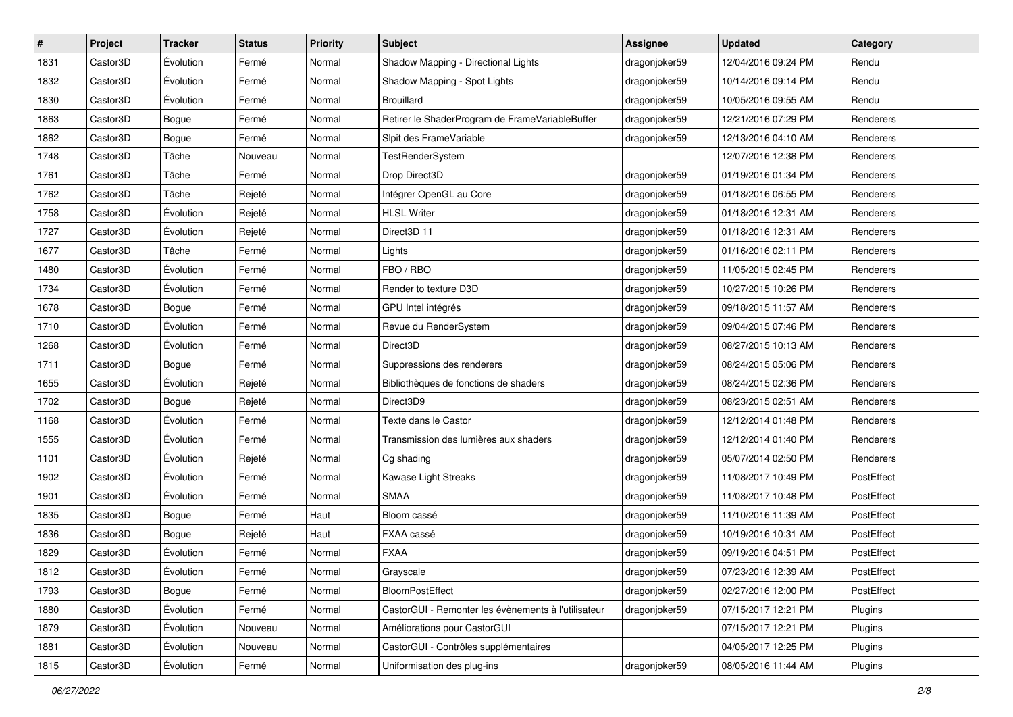| #    | Project  | <b>Tracker</b> | <b>Status</b> | <b>Priority</b> | <b>Subject</b>                                      | <b>Assignee</b> | <b>Updated</b>      | Category   |
|------|----------|----------------|---------------|-----------------|-----------------------------------------------------|-----------------|---------------------|------------|
| 1831 | Castor3D | Évolution      | Fermé         | Normal          | Shadow Mapping - Directional Lights                 | dragonjoker59   | 12/04/2016 09:24 PM | Rendu      |
| 1832 | Castor3D | Évolution      | Fermé         | Normal          | Shadow Mapping - Spot Lights                        | dragonjoker59   | 10/14/2016 09:14 PM | Rendu      |
| 1830 | Castor3D | Évolution      | Fermé         | Normal          | <b>Brouillard</b>                                   | dragonjoker59   | 10/05/2016 09:55 AM | Rendu      |
| 1863 | Castor3D | Bogue          | Fermé         | Normal          | Retirer le ShaderProgram de FrameVariableBuffer     | dragonjoker59   | 12/21/2016 07:29 PM | Renderers  |
| 1862 | Castor3D | Bogue          | Fermé         | Normal          | Slpit des FrameVariable                             | dragonjoker59   | 12/13/2016 04:10 AM | Renderers  |
| 1748 | Castor3D | Tâche          | Nouveau       | Normal          | TestRenderSystem                                    |                 | 12/07/2016 12:38 PM | Renderers  |
| 1761 | Castor3D | Tâche          | Fermé         | Normal          | Drop Direct3D                                       | dragonjoker59   | 01/19/2016 01:34 PM | Renderers  |
| 1762 | Castor3D | Tâche          | Rejeté        | Normal          | Intégrer OpenGL au Core                             | dragonjoker59   | 01/18/2016 06:55 PM | Renderers  |
| 1758 | Castor3D | Évolution      | Rejeté        | Normal          | <b>HLSL Writer</b>                                  | dragonjoker59   | 01/18/2016 12:31 AM | Renderers  |
| 1727 | Castor3D | Évolution      | Rejeté        | Normal          | Direct3D 11                                         | dragonjoker59   | 01/18/2016 12:31 AM | Renderers  |
| 1677 | Castor3D | Tâche          | Fermé         | Normal          | Lights                                              | dragonjoker59   | 01/16/2016 02:11 PM | Renderers  |
| 1480 | Castor3D | Évolution      | Fermé         | Normal          | FBO / RBO                                           | dragonjoker59   | 11/05/2015 02:45 PM | Renderers  |
| 1734 | Castor3D | Évolution      | Fermé         | Normal          | Render to texture D3D                               | dragonjoker59   | 10/27/2015 10:26 PM | Renderers  |
| 1678 | Castor3D | Bogue          | Fermé         | Normal          | GPU Intel intégrés                                  | dragonjoker59   | 09/18/2015 11:57 AM | Renderers  |
| 1710 | Castor3D | Évolution      | Fermé         | Normal          | Revue du RenderSystem                               | dragonjoker59   | 09/04/2015 07:46 PM | Renderers  |
| 1268 | Castor3D | Évolution      | Fermé         | Normal          | Direct3D                                            | dragonjoker59   | 08/27/2015 10:13 AM | Renderers  |
| 1711 | Castor3D | Bogue          | Fermé         | Normal          | Suppressions des renderers                          | dragonjoker59   | 08/24/2015 05:06 PM | Renderers  |
| 1655 | Castor3D | Évolution      | Rejeté        | Normal          | Bibliothèques de fonctions de shaders               | dragonjoker59   | 08/24/2015 02:36 PM | Renderers  |
| 1702 | Castor3D | Bogue          | Rejeté        | Normal          | Direct3D9                                           | dragonjoker59   | 08/23/2015 02:51 AM | Renderers  |
| 1168 | Castor3D | Évolution      | Fermé         | Normal          | Texte dans le Castor                                | dragonjoker59   | 12/12/2014 01:48 PM | Renderers  |
| 1555 | Castor3D | Évolution      | Fermé         | Normal          | Transmission des lumières aux shaders               | dragonjoker59   | 12/12/2014 01:40 PM | Renderers  |
| 1101 | Castor3D | Évolution      | Rejeté        | Normal          | Cg shading                                          | dragonjoker59   | 05/07/2014 02:50 PM | Renderers  |
| 1902 | Castor3D | Évolution      | Fermé         | Normal          | Kawase Light Streaks                                | dragonjoker59   | 11/08/2017 10:49 PM | PostEffect |
| 1901 | Castor3D | Évolution      | Fermé         | Normal          | <b>SMAA</b>                                         | dragonjoker59   | 11/08/2017 10:48 PM | PostEffect |
| 1835 | Castor3D | Bogue          | Fermé         | Haut            | Bloom cassé                                         | dragonjoker59   | 11/10/2016 11:39 AM | PostEffect |
| 1836 | Castor3D | Bogue          | Rejeté        | Haut            | FXAA cassé                                          | dragonjoker59   | 10/19/2016 10:31 AM | PostEffect |
| 1829 | Castor3D | Évolution      | Fermé         | Normal          | <b>FXAA</b>                                         | dragonjoker59   | 09/19/2016 04:51 PM | PostEffect |
| 1812 | Castor3D | Évolution      | Fermé         | Normal          | Grayscale                                           | dragonjoker59   | 07/23/2016 12:39 AM | PostEffect |
| 1793 | Castor3D | Bogue          | Fermé         | Normal          | <b>BloomPostEffect</b>                              | dragonjoker59   | 02/27/2016 12:00 PM | PostEffect |
| 1880 | Castor3D | Évolution      | Fermé         | Normal          | CastorGUI - Remonter les évènements à l'utilisateur | dragonjoker59   | 07/15/2017 12:21 PM | Plugins    |
| 1879 | Castor3D | Évolution      | Nouveau       | Normal          | Améliorations pour CastorGUI                        |                 | 07/15/2017 12:21 PM | Plugins    |
| 1881 | Castor3D | Évolution      | Nouveau       | Normal          | CastorGUI - Contrôles supplémentaires               |                 | 04/05/2017 12:25 PM | Plugins    |
| 1815 | Castor3D | Évolution      | Fermé         | Normal          | Uniformisation des plug-ins                         | dragonjoker59   | 08/05/2016 11:44 AM | Plugins    |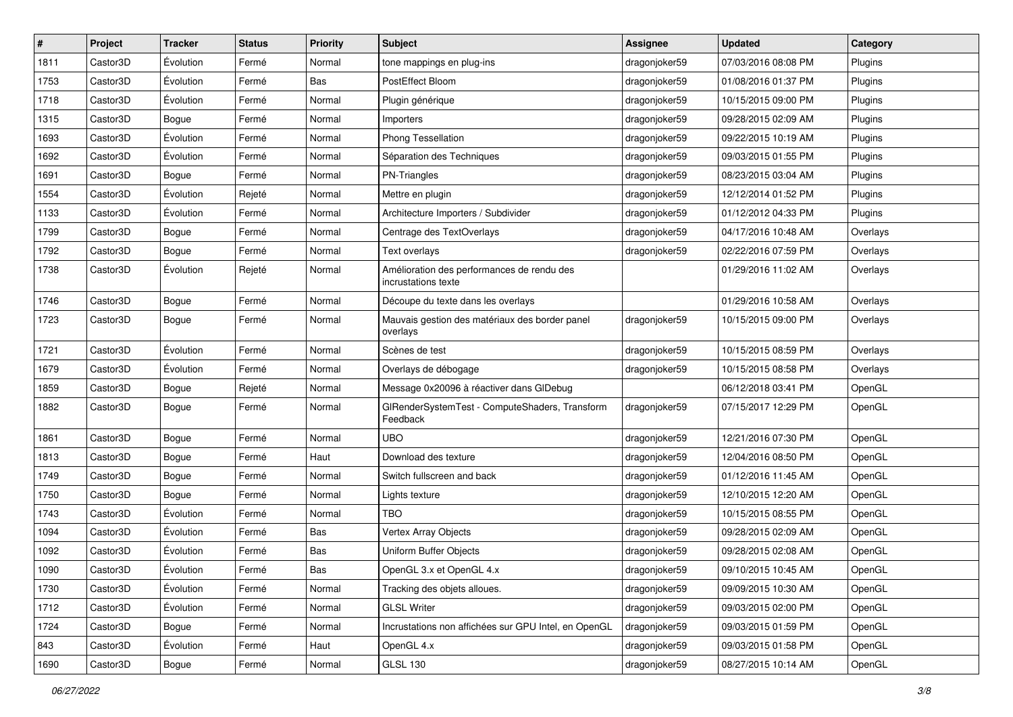| $\sharp$ | Project  | <b>Tracker</b> | <b>Status</b> | <b>Priority</b> | <b>Subject</b>                                                    | <b>Assignee</b> | <b>Updated</b>      | Category |
|----------|----------|----------------|---------------|-----------------|-------------------------------------------------------------------|-----------------|---------------------|----------|
| 1811     | Castor3D | Évolution      | Fermé         | Normal          | tone mappings en plug-ins                                         | dragonjoker59   | 07/03/2016 08:08 PM | Plugins  |
| 1753     | Castor3D | Évolution      | Fermé         | Bas             | PostEffect Bloom                                                  | dragonjoker59   | 01/08/2016 01:37 PM | Plugins  |
| 1718     | Castor3D | Évolution      | Fermé         | Normal          | Plugin générique                                                  | dragonjoker59   | 10/15/2015 09:00 PM | Plugins  |
| 1315     | Castor3D | Bogue          | Fermé         | Normal          | Importers                                                         | dragonjoker59   | 09/28/2015 02:09 AM | Plugins  |
| 1693     | Castor3D | Évolution      | Fermé         | Normal          | Phong Tessellation                                                | dragonjoker59   | 09/22/2015 10:19 AM | Plugins  |
| 1692     | Castor3D | Évolution      | Fermé         | Normal          | Séparation des Techniques                                         | dragonjoker59   | 09/03/2015 01:55 PM | Plugins  |
| 1691     | Castor3D | Bogue          | Fermé         | Normal          | <b>PN-Triangles</b>                                               | dragonjoker59   | 08/23/2015 03:04 AM | Plugins  |
| 1554     | Castor3D | Évolution      | Rejeté        | Normal          | Mettre en plugin                                                  | dragonjoker59   | 12/12/2014 01:52 PM | Plugins  |
| 1133     | Castor3D | Évolution      | Fermé         | Normal          | Architecture Importers / Subdivider                               | dragonjoker59   | 01/12/2012 04:33 PM | Plugins  |
| 1799     | Castor3D | Bogue          | Fermé         | Normal          | Centrage des TextOverlays                                         | dragonjoker59   | 04/17/2016 10:48 AM | Overlays |
| 1792     | Castor3D | Bogue          | Fermé         | Normal          | Text overlays                                                     | dragonjoker59   | 02/22/2016 07:59 PM | Overlays |
| 1738     | Castor3D | Évolution      | Rejeté        | Normal          | Amélioration des performances de rendu des<br>incrustations texte |                 | 01/29/2016 11:02 AM | Overlays |
| 1746     | Castor3D | Bogue          | Fermé         | Normal          | Découpe du texte dans les overlays                                |                 | 01/29/2016 10:58 AM | Overlays |
| 1723     | Castor3D | Bogue          | Fermé         | Normal          | Mauvais gestion des matériaux des border panel<br>overlays        | dragonjoker59   | 10/15/2015 09:00 PM | Overlays |
| 1721     | Castor3D | Évolution      | Fermé         | Normal          | Scènes de test                                                    | dragonjoker59   | 10/15/2015 08:59 PM | Overlays |
| 1679     | Castor3D | Évolution      | Fermé         | Normal          | Overlays de débogage                                              | dragonjoker59   | 10/15/2015 08:58 PM | Overlays |
| 1859     | Castor3D | Bogue          | Rejeté        | Normal          | Message 0x20096 à réactiver dans GIDebug                          |                 | 06/12/2018 03:41 PM | OpenGL   |
| 1882     | Castor3D | Bogue          | Fermé         | Normal          | GIRenderSystemTest - ComputeShaders, Transform<br>Feedback        | dragonjoker59   | 07/15/2017 12:29 PM | OpenGL   |
| 1861     | Castor3D | Bogue          | Fermé         | Normal          | <b>UBO</b>                                                        | dragonjoker59   | 12/21/2016 07:30 PM | OpenGL   |
| 1813     | Castor3D | Bogue          | Fermé         | Haut            | Download des texture                                              | dragonjoker59   | 12/04/2016 08:50 PM | OpenGL   |
| 1749     | Castor3D | Bogue          | Fermé         | Normal          | Switch fullscreen and back                                        | dragonjoker59   | 01/12/2016 11:45 AM | OpenGL   |
| 1750     | Castor3D | Bogue          | Fermé         | Normal          | Lights texture                                                    | dragonjoker59   | 12/10/2015 12:20 AM | OpenGL   |
| 1743     | Castor3D | Évolution      | Fermé         | Normal          | <b>TBO</b>                                                        | dragonjoker59   | 10/15/2015 08:55 PM | OpenGL   |
| 1094     | Castor3D | Evolution      | Fermé         | Bas             | Vertex Array Objects                                              | dragonjoker59   | 09/28/2015 02:09 AM | OpenGL   |
| 1092     | Castor3D | Évolution      | Fermé         | Bas             | Uniform Buffer Objects                                            | dragonjoker59   | 09/28/2015 02:08 AM | OpenGL   |
| 1090     | Castor3D | Évolution      | Fermé         | Bas             | OpenGL 3.x et OpenGL 4.x                                          | dragonjoker59   | 09/10/2015 10:45 AM | OpenGL   |
| 1730     | Castor3D | Évolution      | Fermé         | Normal          | Tracking des objets alloues.                                      | dragonjoker59   | 09/09/2015 10:30 AM | OpenGL   |
| 1712     | Castor3D | Évolution      | Fermé         | Normal          | <b>GLSL Writer</b>                                                | dragonjoker59   | 09/03/2015 02:00 PM | OpenGL   |
| 1724     | Castor3D | Bogue          | Fermé         | Normal          | Incrustations non affichées sur GPU Intel, en OpenGL              | dragonjoker59   | 09/03/2015 01:59 PM | OpenGL   |
| 843      | Castor3D | Évolution      | Fermé         | Haut            | OpenGL 4.x                                                        | dragonjoker59   | 09/03/2015 01:58 PM | OpenGL   |
| 1690     | Castor3D | Bogue          | Fermé         | Normal          | <b>GLSL 130</b>                                                   | dragonjoker59   | 08/27/2015 10:14 AM | OpenGL   |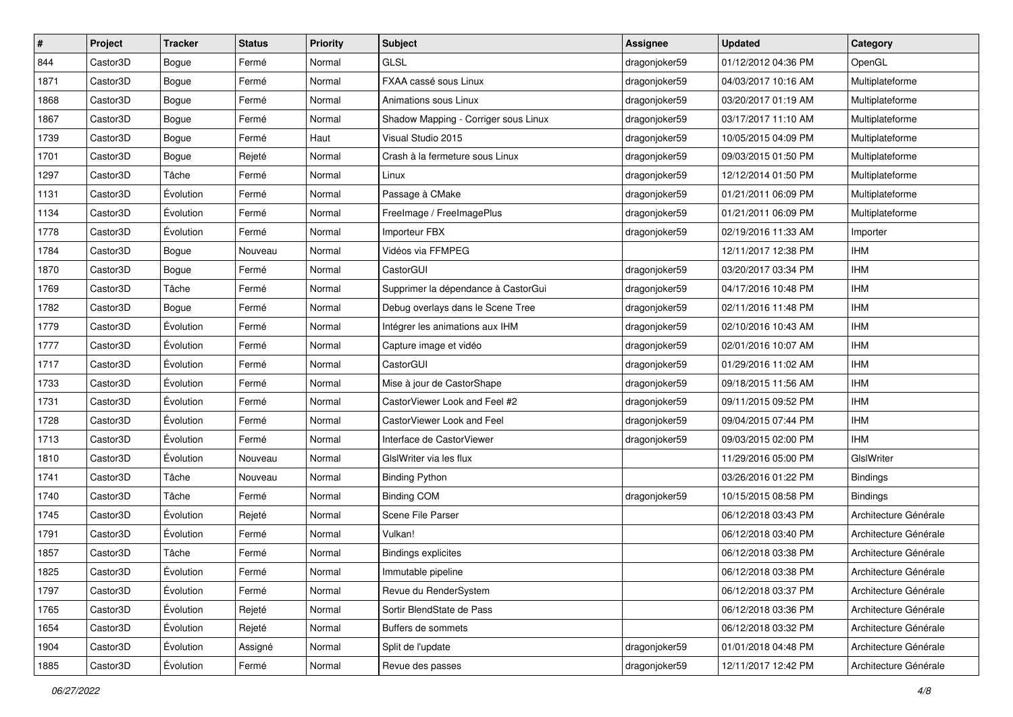| #    | Project  | <b>Tracker</b> | <b>Status</b> | <b>Priority</b> | Subject                              | <b>Assignee</b> | <b>Updated</b>      | Category              |
|------|----------|----------------|---------------|-----------------|--------------------------------------|-----------------|---------------------|-----------------------|
| 844  | Castor3D | Bogue          | Fermé         | Normal          | <b>GLSL</b>                          | dragonjoker59   | 01/12/2012 04:36 PM | OpenGL                |
| 1871 | Castor3D | <b>Bogue</b>   | Fermé         | Normal          | FXAA cassé sous Linux                | dragonjoker59   | 04/03/2017 10:16 AM | Multiplateforme       |
| 1868 | Castor3D | Bogue          | Fermé         | Normal          | Animations sous Linux                | dragonjoker59   | 03/20/2017 01:19 AM | Multiplateforme       |
| 1867 | Castor3D | Bogue          | Fermé         | Normal          | Shadow Mapping - Corriger sous Linux | dragonjoker59   | 03/17/2017 11:10 AM | Multiplateforme       |
| 1739 | Castor3D | Bogue          | Fermé         | Haut            | Visual Studio 2015                   | dragonjoker59   | 10/05/2015 04:09 PM | Multiplateforme       |
| 1701 | Castor3D | Bogue          | Rejeté        | Normal          | Crash à la fermeture sous Linux      | dragonjoker59   | 09/03/2015 01:50 PM | Multiplateforme       |
| 1297 | Castor3D | Tâche          | Fermé         | Normal          | Linux                                | dragonjoker59   | 12/12/2014 01:50 PM | Multiplateforme       |
| 1131 | Castor3D | Évolution      | Fermé         | Normal          | Passage à CMake                      | dragonjoker59   | 01/21/2011 06:09 PM | Multiplateforme       |
| 1134 | Castor3D | Évolution      | Fermé         | Normal          | FreeImage / FreeImagePlus            | dragonjoker59   | 01/21/2011 06:09 PM | Multiplateforme       |
| 1778 | Castor3D | Évolution      | Fermé         | Normal          | Importeur FBX                        | dragonjoker59   | 02/19/2016 11:33 AM | Importer              |
| 1784 | Castor3D | Bogue          | Nouveau       | Normal          | Vidéos via FFMPEG                    |                 | 12/11/2017 12:38 PM | <b>IHM</b>            |
| 1870 | Castor3D | Bogue          | Fermé         | Normal          | CastorGUI                            | dragonjoker59   | 03/20/2017 03:34 PM | <b>IHM</b>            |
| 1769 | Castor3D | Tâche          | Fermé         | Normal          | Supprimer la dépendance à CastorGui  | dragonjoker59   | 04/17/2016 10:48 PM | <b>IHM</b>            |
| 1782 | Castor3D | Bogue          | Fermé         | Normal          | Debug overlays dans le Scene Tree    | dragonjoker59   | 02/11/2016 11:48 PM | <b>IHM</b>            |
| 1779 | Castor3D | Évolution      | Fermé         | Normal          | Intégrer les animations aux IHM      | dragonjoker59   | 02/10/2016 10:43 AM | <b>IHM</b>            |
| 1777 | Castor3D | Évolution      | Fermé         | Normal          | Capture image et vidéo               | dragonjoker59   | 02/01/2016 10:07 AM | <b>IHM</b>            |
| 1717 | Castor3D | Évolution      | Fermé         | Normal          | CastorGUI                            | dragonjoker59   | 01/29/2016 11:02 AM | <b>IHM</b>            |
| 1733 | Castor3D | Évolution      | Fermé         | Normal          | Mise à jour de CastorShape           | dragonjoker59   | 09/18/2015 11:56 AM | <b>IHM</b>            |
| 1731 | Castor3D | Évolution      | Fermé         | Normal          | CastorViewer Look and Feel #2        | dragonjoker59   | 09/11/2015 09:52 PM | <b>IHM</b>            |
| 1728 | Castor3D | Évolution      | Fermé         | Normal          | CastorViewer Look and Feel           | dragonjoker59   | 09/04/2015 07:44 PM | <b>IHM</b>            |
| 1713 | Castor3D | Évolution      | Fermé         | Normal          | Interface de CastorViewer            | dragonjoker59   | 09/03/2015 02:00 PM | <b>IHM</b>            |
| 1810 | Castor3D | Évolution      | Nouveau       | Normal          | GIsIWriter via les flux              |                 | 11/29/2016 05:00 PM | GIslWriter            |
| 1741 | Castor3D | Tâche          | Nouveau       | Normal          | <b>Binding Python</b>                |                 | 03/26/2016 01:22 PM | <b>Bindings</b>       |
| 1740 | Castor3D | Tâche          | Fermé         | Normal          | <b>Binding COM</b>                   | dragonjoker59   | 10/15/2015 08:58 PM | <b>Bindings</b>       |
| 1745 | Castor3D | Évolution      | Rejeté        | Normal          | Scene File Parser                    |                 | 06/12/2018 03:43 PM | Architecture Générale |
| 1791 | Castor3D | Évolution      | Fermé         | Normal          | Vulkan!                              |                 | 06/12/2018 03:40 PM | Architecture Générale |
| 1857 | Castor3D | Tâche          | Fermé         | Normal          | <b>Bindings explicites</b>           |                 | 06/12/2018 03:38 PM | Architecture Générale |
| 1825 | Castor3D | Évolution      | Fermé         | Normal          | Immutable pipeline                   |                 | 06/12/2018 03:38 PM | Architecture Générale |
| 1797 | Castor3D | Évolution      | Fermé         | Normal          | Revue du RenderSystem                |                 | 06/12/2018 03:37 PM | Architecture Générale |
| 1765 | Castor3D | Évolution      | Rejeté        | Normal          | Sortir BlendState de Pass            |                 | 06/12/2018 03:36 PM | Architecture Générale |
| 1654 | Castor3D | Évolution      | Rejeté        | Normal          | Buffers de sommets                   |                 | 06/12/2018 03:32 PM | Architecture Générale |
| 1904 | Castor3D | Évolution      | Assigné       | Normal          | Split de l'update                    | dragonjoker59   | 01/01/2018 04:48 PM | Architecture Générale |
| 1885 | Castor3D | Évolution      | Fermé         | Normal          | Revue des passes                     | dragonjoker59   | 12/11/2017 12:42 PM | Architecture Générale |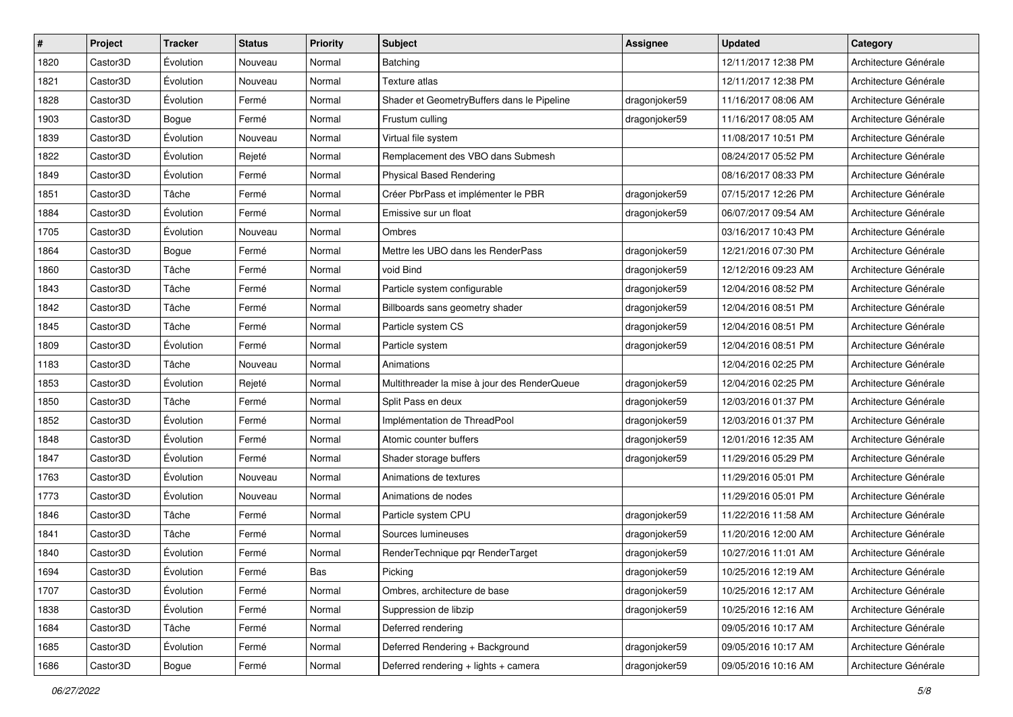| #    | Project  | <b>Tracker</b>   | <b>Status</b> | Priority | <b>Subject</b>                               | Assignee      | <b>Updated</b>      | Category              |
|------|----------|------------------|---------------|----------|----------------------------------------------|---------------|---------------------|-----------------------|
| 1820 | Castor3D | Évolution        | Nouveau       | Normal   | Batching                                     |               | 12/11/2017 12:38 PM | Architecture Générale |
| 1821 | Castor3D | Évolution        | Nouveau       | Normal   | Texture atlas                                |               | 12/11/2017 12:38 PM | Architecture Générale |
| 1828 | Castor3D | Évolution        | Fermé         | Normal   | Shader et GeometryBuffers dans le Pipeline   | dragonjoker59 | 11/16/2017 08:06 AM | Architecture Générale |
| 1903 | Castor3D | Bogue            | Fermé         | Normal   | Frustum culling                              | dragonjoker59 | 11/16/2017 08:05 AM | Architecture Générale |
| 1839 | Castor3D | Évolution        | Nouveau       | Normal   | Virtual file system                          |               | 11/08/2017 10:51 PM | Architecture Générale |
| 1822 | Castor3D | Évolution        | Rejeté        | Normal   | Remplacement des VBO dans Submesh            |               | 08/24/2017 05:52 PM | Architecture Générale |
| 1849 | Castor3D | Évolution        | Fermé         | Normal   | <b>Physical Based Rendering</b>              |               | 08/16/2017 08:33 PM | Architecture Générale |
| 1851 | Castor3D | Tâche            | Fermé         | Normal   | Créer PbrPass et implémenter le PBR          | dragonjoker59 | 07/15/2017 12:26 PM | Architecture Générale |
| 1884 | Castor3D | Évolution        | Fermé         | Normal   | Emissive sur un float                        | dragonjoker59 | 06/07/2017 09:54 AM | Architecture Générale |
| 1705 | Castor3D | Évolution        | Nouveau       | Normal   | Ombres                                       |               | 03/16/2017 10:43 PM | Architecture Générale |
| 1864 | Castor3D | Bogue            | Fermé         | Normal   | Mettre les UBO dans les RenderPass           | dragonjoker59 | 12/21/2016 07:30 PM | Architecture Générale |
| 1860 | Castor3D | Tâche            | Fermé         | Normal   | void Bind                                    | dragonjoker59 | 12/12/2016 09:23 AM | Architecture Générale |
| 1843 | Castor3D | Tâche            | Fermé         | Normal   | Particle system configurable                 | dragonjoker59 | 12/04/2016 08:52 PM | Architecture Générale |
| 1842 | Castor3D | Tâche            | Fermé         | Normal   | Billboards sans geometry shader              | dragonjoker59 | 12/04/2016 08:51 PM | Architecture Générale |
| 1845 | Castor3D | Tâche            | Fermé         | Normal   | Particle system CS                           | dragonjoker59 | 12/04/2016 08:51 PM | Architecture Générale |
| 1809 | Castor3D | Évolution        | Fermé         | Normal   | Particle system                              | dragonjoker59 | 12/04/2016 08:51 PM | Architecture Générale |
| 1183 | Castor3D | Tâche            | Nouveau       | Normal   | Animations                                   |               | 12/04/2016 02:25 PM | Architecture Générale |
| 1853 | Castor3D | Évolution        | Rejeté        | Normal   | Multithreader la mise à jour des RenderQueue | dragonjoker59 | 12/04/2016 02:25 PM | Architecture Générale |
| 1850 | Castor3D | Tâche            | Fermé         | Normal   | Split Pass en deux                           | dragonjoker59 | 12/03/2016 01:37 PM | Architecture Générale |
| 1852 | Castor3D | Évolution        | Fermé         | Normal   | Implémentation de ThreadPool                 | dragonjoker59 | 12/03/2016 01:37 PM | Architecture Générale |
| 1848 | Castor3D | Évolution        | Fermé         | Normal   | Atomic counter buffers                       | dragonjoker59 | 12/01/2016 12:35 AM | Architecture Générale |
| 1847 | Castor3D | Évolution        | Fermé         | Normal   | Shader storage buffers                       | dragonjoker59 | 11/29/2016 05:29 PM | Architecture Générale |
| 1763 | Castor3D | Évolution        | Nouveau       | Normal   | Animations de textures                       |               | 11/29/2016 05:01 PM | Architecture Générale |
| 1773 | Castor3D | Évolution        | Nouveau       | Normal   | Animations de nodes                          |               | 11/29/2016 05:01 PM | Architecture Générale |
| 1846 | Castor3D | Tâche            | Fermé         | Normal   | Particle system CPU                          | dragonjoker59 | 11/22/2016 11:58 AM | Architecture Générale |
| 1841 | Castor3D | Tâche            | Fermé         | Normal   | Sources lumineuses                           | dragonjoker59 | 11/20/2016 12:00 AM | Architecture Générale |
| 1840 | Castor3D | Évolution        | Fermé         | Normal   | RenderTechnique pqr RenderTarget             | dragonjoker59 | 10/27/2016 11:01 AM | Architecture Générale |
| 1694 | Castor3D | Évolution        | Fermé         | Bas      | Picking                                      | dragonjoker59 | 10/25/2016 12:19 AM | Architecture Générale |
| 1707 | Castor3D | <b>Évolution</b> | Fermé         | Normal   | Ombres, architecture de base                 | dragonjoker59 | 10/25/2016 12:17 AM | Architecture Générale |
| 1838 | Castor3D | Évolution        | Fermé         | Normal   | Suppression de libzip                        | dragonjoker59 | 10/25/2016 12:16 AM | Architecture Générale |
| 1684 | Castor3D | Tâche            | Fermé         | Normal   | Deferred rendering                           |               | 09/05/2016 10:17 AM | Architecture Générale |
| 1685 | Castor3D | Évolution        | Fermé         | Normal   | Deferred Rendering + Background              | dragonjoker59 | 09/05/2016 10:17 AM | Architecture Générale |
| 1686 | Castor3D | Bogue            | Fermé         | Normal   | Deferred rendering + lights + camera         | dragonjoker59 | 09/05/2016 10:16 AM | Architecture Générale |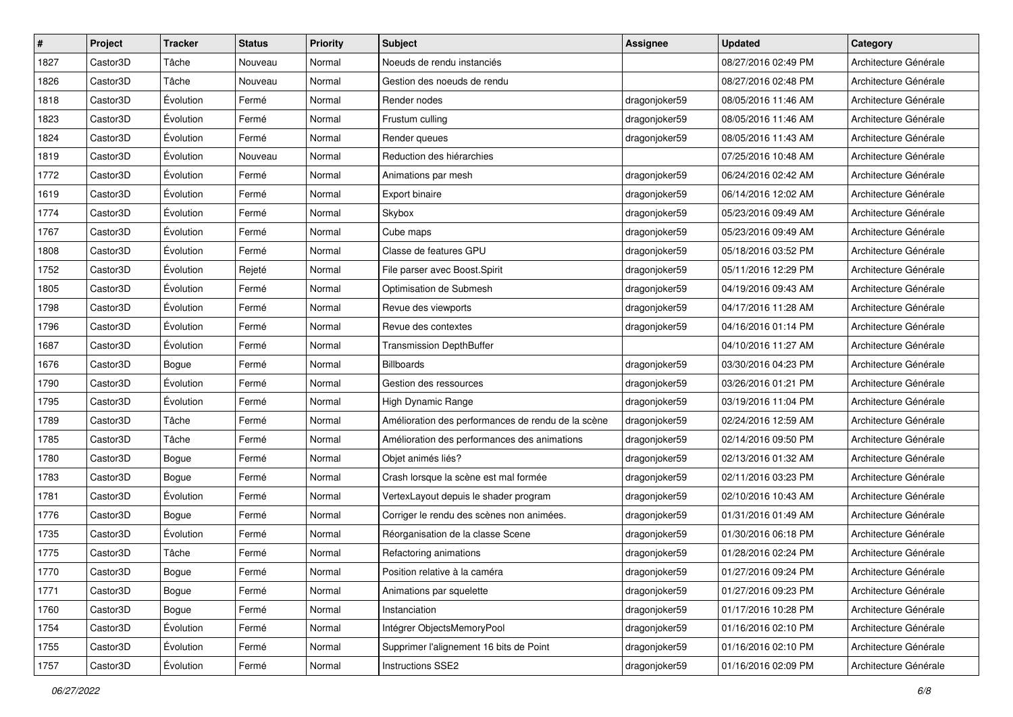| #    | Project  | <b>Tracker</b>   | <b>Status</b> | Priority | <b>Subject</b>                                     | Assignee      | <b>Updated</b>      | Category              |
|------|----------|------------------|---------------|----------|----------------------------------------------------|---------------|---------------------|-----------------------|
| 1827 | Castor3D | Tâche            | Nouveau       | Normal   | Noeuds de rendu instanciés                         |               | 08/27/2016 02:49 PM | Architecture Générale |
| 1826 | Castor3D | Tâche            | Nouveau       | Normal   | Gestion des noeuds de rendu                        |               | 08/27/2016 02:48 PM | Architecture Générale |
| 1818 | Castor3D | Évolution        | Fermé         | Normal   | Render nodes                                       | dragonjoker59 | 08/05/2016 11:46 AM | Architecture Générale |
| 1823 | Castor3D | Évolution        | Fermé         | Normal   | Frustum culling                                    | dragonjoker59 | 08/05/2016 11:46 AM | Architecture Générale |
| 1824 | Castor3D | Évolution        | Fermé         | Normal   | Render queues                                      | dragonjoker59 | 08/05/2016 11:43 AM | Architecture Générale |
| 1819 | Castor3D | Évolution        | Nouveau       | Normal   | Reduction des hiérarchies                          |               | 07/25/2016 10:48 AM | Architecture Générale |
| 1772 | Castor3D | Évolution        | Fermé         | Normal   | Animations par mesh                                | dragonjoker59 | 06/24/2016 02:42 AM | Architecture Générale |
| 1619 | Castor3D | Évolution        | Fermé         | Normal   | Export binaire                                     | dragonjoker59 | 06/14/2016 12:02 AM | Architecture Générale |
| 1774 | Castor3D | Évolution        | Fermé         | Normal   | Skybox                                             | dragonjoker59 | 05/23/2016 09:49 AM | Architecture Générale |
| 1767 | Castor3D | Évolution        | Fermé         | Normal   | Cube maps                                          | dragonjoker59 | 05/23/2016 09:49 AM | Architecture Générale |
| 1808 | Castor3D | Évolution        | Fermé         | Normal   | Classe de features GPU                             | dragonjoker59 | 05/18/2016 03:52 PM | Architecture Générale |
| 1752 | Castor3D | Évolution        | Rejeté        | Normal   | File parser avec Boost.Spirit                      | dragonjoker59 | 05/11/2016 12:29 PM | Architecture Générale |
| 1805 | Castor3D | Évolution        | Fermé         | Normal   | Optimisation de Submesh                            | dragonjoker59 | 04/19/2016 09:43 AM | Architecture Générale |
| 1798 | Castor3D | Évolution        | Fermé         | Normal   | Revue des viewports                                | dragonjoker59 | 04/17/2016 11:28 AM | Architecture Générale |
| 1796 | Castor3D | Évolution        | Fermé         | Normal   | Revue des contextes                                | dragonjoker59 | 04/16/2016 01:14 PM | Architecture Générale |
| 1687 | Castor3D | Évolution        | Fermé         | Normal   | <b>Transmission DepthBuffer</b>                    |               | 04/10/2016 11:27 AM | Architecture Générale |
| 1676 | Castor3D | Bogue            | Fermé         | Normal   | <b>Billboards</b>                                  | dragonjoker59 | 03/30/2016 04:23 PM | Architecture Générale |
| 1790 | Castor3D | Évolution        | Fermé         | Normal   | Gestion des ressources                             | dragonjoker59 | 03/26/2016 01:21 PM | Architecture Générale |
| 1795 | Castor3D | Évolution        | Fermé         | Normal   | High Dynamic Range                                 | dragonjoker59 | 03/19/2016 11:04 PM | Architecture Générale |
| 1789 | Castor3D | Tâche            | Fermé         | Normal   | Amélioration des performances de rendu de la scène | dragonjoker59 | 02/24/2016 12:59 AM | Architecture Générale |
| 1785 | Castor3D | Tâche            | Fermé         | Normal   | Amélioration des performances des animations       | dragonjoker59 | 02/14/2016 09:50 PM | Architecture Générale |
| 1780 | Castor3D | Bogue            | Fermé         | Normal   | Objet animés liés?                                 | dragonjoker59 | 02/13/2016 01:32 AM | Architecture Générale |
| 1783 | Castor3D | Bogue            | Fermé         | Normal   | Crash lorsque la scène est mal formée              | dragonjoker59 | 02/11/2016 03:23 PM | Architecture Générale |
| 1781 | Castor3D | Évolution        | Fermé         | Normal   | VertexLayout depuis le shader program              | dragonjoker59 | 02/10/2016 10:43 AM | Architecture Générale |
| 1776 | Castor3D | Bogue            | Fermé         | Normal   | Corriger le rendu des scènes non animées.          | dragonjoker59 | 01/31/2016 01:49 AM | Architecture Générale |
| 1735 | Castor3D | Évolution        | Fermé         | Normal   | Réorganisation de la classe Scene                  | dragonjoker59 | 01/30/2016 06:18 PM | Architecture Générale |
| 1775 | Castor3D | Tâche            | Fermé         | Normal   | Refactoring animations                             | dragonjoker59 | 01/28/2016 02:24 PM | Architecture Générale |
| 1770 | Castor3D | Bogue            | Fermé         | Normal   | Position relative à la caméra                      | dragonjoker59 | 01/27/2016 09:24 PM | Architecture Générale |
| 1771 | Castor3D | Bogue            | Fermé         | Normal   | Animations par squelette                           | dragonjoker59 | 01/27/2016 09:23 PM | Architecture Générale |
| 1760 | Castor3D | Bogue            | Fermé         | Normal   | Instanciation                                      | dragonjoker59 | 01/17/2016 10:28 PM | Architecture Générale |
| 1754 | Castor3D | <b>Évolution</b> | Fermé         | Normal   | Intégrer ObjectsMemoryPool                         | dragonjoker59 | 01/16/2016 02:10 PM | Architecture Générale |
| 1755 | Castor3D | Évolution        | Fermé         | Normal   | Supprimer l'alignement 16 bits de Point            | dragonjoker59 | 01/16/2016 02:10 PM | Architecture Générale |
| 1757 | Castor3D | Évolution        | Fermé         | Normal   | Instructions SSE2                                  | dragonjoker59 | 01/16/2016 02:09 PM | Architecture Générale |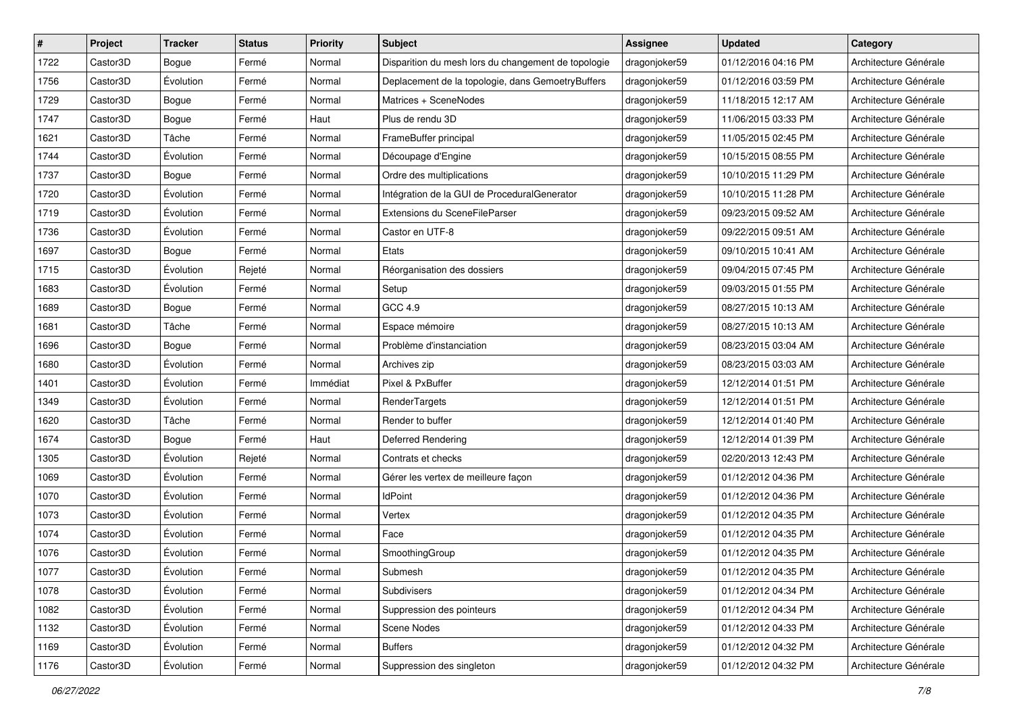| $\sharp$ | Project               | <b>Tracker</b> | <b>Status</b> | <b>Priority</b> | Subject                                             | <b>Assignee</b> | <b>Updated</b>      | Category              |
|----------|-----------------------|----------------|---------------|-----------------|-----------------------------------------------------|-----------------|---------------------|-----------------------|
| 1722     | Castor <sub>3</sub> D | Bogue          | Fermé         | Normal          | Disparition du mesh lors du changement de topologie | dragonjoker59   | 01/12/2016 04:16 PM | Architecture Générale |
| 1756     | Castor3D              | Évolution      | Fermé         | Normal          | Deplacement de la topologie, dans GemoetryBuffers   | dragonjoker59   | 01/12/2016 03:59 PM | Architecture Générale |
| 1729     | Castor3D              | Bogue          | Fermé         | Normal          | Matrices + SceneNodes                               | dragonjoker59   | 11/18/2015 12:17 AM | Architecture Générale |
| 1747     | Castor <sub>3</sub> D | Bogue          | Fermé         | Haut            | Plus de rendu 3D                                    | dragonjoker59   | 11/06/2015 03:33 PM | Architecture Générale |
| 1621     | Castor3D              | Tâche          | Fermé         | Normal          | FrameBuffer principal                               | dragonjoker59   | 11/05/2015 02:45 PM | Architecture Générale |
| 1744     | Castor3D              | Évolution      | Fermé         | Normal          | Découpage d'Engine                                  | dragonjoker59   | 10/15/2015 08:55 PM | Architecture Générale |
| 1737     | Castor3D              | Bogue          | Fermé         | Normal          | Ordre des multiplications                           | dragonjoker59   | 10/10/2015 11:29 PM | Architecture Générale |
| 1720     | Castor3D              | Évolution      | Fermé         | Normal          | Intégration de la GUI de ProceduralGenerator        | dragonjoker59   | 10/10/2015 11:28 PM | Architecture Générale |
| 1719     | Castor3D              | Évolution      | Fermé         | Normal          | Extensions du SceneFileParser                       | dragonjoker59   | 09/23/2015 09:52 AM | Architecture Générale |
| 1736     | Castor3D              | Évolution      | Fermé         | Normal          | Castor en UTF-8                                     | dragonjoker59   | 09/22/2015 09:51 AM | Architecture Générale |
| 1697     | Castor <sub>3</sub> D | Bogue          | Fermé         | Normal          | Etats                                               | dragonjoker59   | 09/10/2015 10:41 AM | Architecture Générale |
| 1715     | Castor3D              | Évolution      | Rejeté        | Normal          | Réorganisation des dossiers                         | dragonjoker59   | 09/04/2015 07:45 PM | Architecture Générale |
| 1683     | Castor3D              | Évolution      | Fermé         | Normal          | Setup                                               | dragonjoker59   | 09/03/2015 01:55 PM | Architecture Générale |
| 1689     | Castor3D              | Bogue          | Fermé         | Normal          | GCC 4.9                                             | dragonjoker59   | 08/27/2015 10:13 AM | Architecture Générale |
| 1681     | Castor3D              | Tâche          | Fermé         | Normal          | Espace mémoire                                      | dragonjoker59   | 08/27/2015 10:13 AM | Architecture Générale |
| 1696     | Castor3D              | Bogue          | Fermé         | Normal          | Problème d'instanciation                            | dragonjoker59   | 08/23/2015 03:04 AM | Architecture Générale |
| 1680     | Castor3D              | Évolution      | Fermé         | Normal          | Archives zip                                        | dragonjoker59   | 08/23/2015 03:03 AM | Architecture Générale |
| 1401     | Castor3D              | Évolution      | Fermé         | Immédiat        | Pixel & PxBuffer                                    | dragonjoker59   | 12/12/2014 01:51 PM | Architecture Générale |
| 1349     | Castor <sub>3</sub> D | Évolution      | Fermé         | Normal          | RenderTargets                                       | dragonjoker59   | 12/12/2014 01:51 PM | Architecture Générale |
| 1620     | Castor3D              | Tâche          | Fermé         | Normal          | Render to buffer                                    | dragonjoker59   | 12/12/2014 01:40 PM | Architecture Générale |
| 1674     | Castor3D              | Bogue          | Fermé         | Haut            | Deferred Rendering                                  | dragonjoker59   | 12/12/2014 01:39 PM | Architecture Générale |
| 1305     | Castor3D              | Évolution      | Rejeté        | Normal          | Contrats et checks                                  | dragonjoker59   | 02/20/2013 12:43 PM | Architecture Générale |
| 1069     | Castor3D              | Évolution      | Fermé         | Normal          | Gérer les vertex de meilleure façon                 | dragonjoker59   | 01/12/2012 04:36 PM | Architecture Générale |
| 1070     | Castor <sub>3</sub> D | Évolution      | Fermé         | Normal          | IdPoint                                             | dragonjoker59   | 01/12/2012 04:36 PM | Architecture Générale |
| 1073     | Castor3D              | Évolution      | Fermé         | Normal          | Vertex                                              | dragonjoker59   | 01/12/2012 04:35 PM | Architecture Générale |
| 1074     | Castor3D              | Évolution      | Fermé         | Normal          | Face                                                | dragonjoker59   | 01/12/2012 04:35 PM | Architecture Générale |
| 1076     | Castor3D              | Évolution      | Fermé         | Normal          | SmoothingGroup                                      | dragonjoker59   | 01/12/2012 04:35 PM | Architecture Générale |
| 1077     | Castor3D              | Évolution      | Fermé         | Normal          | Submesh                                             | dragonjoker59   | 01/12/2012 04:35 PM | Architecture Générale |
| 1078     | Castor3D              | Évolution      | Fermé         | Normal          | Subdivisers                                         | dragonjoker59   | 01/12/2012 04:34 PM | Architecture Générale |
| 1082     | Castor3D              | Évolution      | Fermé         | Normal          | Suppression des pointeurs                           | dragonjoker59   | 01/12/2012 04:34 PM | Architecture Générale |
| 1132     | Castor3D              | Évolution      | Fermé         | Normal          | Scene Nodes                                         | dragonjoker59   | 01/12/2012 04:33 PM | Architecture Générale |
| 1169     | Castor3D              | Évolution      | Fermé         | Normal          | <b>Buffers</b>                                      | dragonjoker59   | 01/12/2012 04:32 PM | Architecture Générale |
| 1176     | Castor3D              | Évolution      | Fermé         | Normal          | Suppression des singleton                           | dragonjoker59   | 01/12/2012 04:32 PM | Architecture Générale |